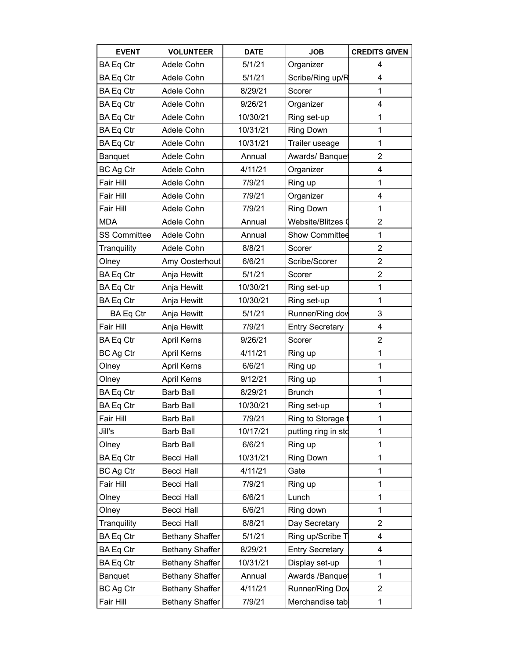| <b>EVENT</b>        | <b>VOLUNTEER</b>       | <b>DATE</b> | <b>JOB</b>             | <b>CREDITS GIVEN</b>    |
|---------------------|------------------------|-------------|------------------------|-------------------------|
| <b>BA Eq Ctr</b>    | Adele Cohn             | 5/1/21      | Organizer              | 4                       |
| <b>BA Eq Ctr</b>    | Adele Cohn             | 5/1/21      | Scribe/Ring up/R       | 4                       |
| <b>BA Eq Ctr</b>    | Adele Cohn             | 8/29/21     | Scorer                 | 1                       |
| <b>BA Eq Ctr</b>    | Adele Cohn             | 9/26/21     | Organizer              | 4                       |
| BA Eq Ctr           | Adele Cohn             | 10/30/21    | Ring set-up            | $\mathbf{1}$            |
| <b>BA Eq Ctr</b>    | Adele Cohn             | 10/31/21    | <b>Ring Down</b>       | $\mathbf 1$             |
| BA Eq Ctr           | Adele Cohn             | 10/31/21    | Trailer useage         | 1                       |
| Banquet             | Adele Cohn             | Annual      | Awards/Banquet         | $\overline{2}$          |
| BC Ag Ctr           | Adele Cohn             | 4/11/21     | Organizer              | $\overline{\mathbf{4}}$ |
| Fair Hill           | Adele Cohn             | 7/9/21      | Ring up                | 1                       |
| Fair Hill           | Adele Cohn             | 7/9/21      | Organizer              | 4                       |
| Fair Hill           | Adele Cohn             | 7/9/21      | <b>Ring Down</b>       | 1                       |
| <b>MDA</b>          | Adele Cohn             | Annual      | Website/Blitzes 0      | $\overline{2}$          |
| <b>SS Committee</b> | Adele Cohn             | Annual      | <b>Show Committee</b>  | $\mathbf 1$             |
| Tranquility         | Adele Cohn             | 8/8/21      | Scorer                 | $\overline{2}$          |
| Olney               | Amy Oosterhout         | 6/6/21      | Scribe/Scorer          | $\overline{2}$          |
| <b>BA Eq Ctr</b>    | Anja Hewitt            | 5/1/21      | Scorer                 | $\overline{2}$          |
| <b>BA Eq Ctr</b>    | Anja Hewitt            | 10/30/21    | Ring set-up            | $\mathbf{1}$            |
| <b>BA Eq Ctr</b>    | Anja Hewitt            | 10/30/21    | Ring set-up            | 1                       |
| <b>BA Eq Ctr</b>    | Anja Hewitt            | 5/1/21      | Runner/Ring dow        | 3                       |
| Fair Hill           | Anja Hewitt            | 7/9/21      | <b>Entry Secretary</b> | 4                       |
| <b>BA Eq Ctr</b>    | <b>April Kerns</b>     | 9/26/21     | Scorer                 | $\overline{2}$          |
| <b>BC Ag Ctr</b>    | <b>April Kerns</b>     | 4/11/21     | Ring up                | 1                       |
| Olney               | <b>April Kerns</b>     | 6/6/21      | Ring up                | 1                       |
| Olney               | <b>April Kerns</b>     | 9/12/21     | Ring up                | 1                       |
| <b>BA Eq Ctr</b>    | <b>Barb Ball</b>       | 8/29/21     | <b>Brunch</b>          | $\mathbf{1}$            |
| BA Eq Ctr           | <b>Barb Ball</b>       | 10/30/21    | Ring set-up            | 1                       |
| Fair Hill           | <b>Barb Ball</b>       | 7/9/21      | Ring to Storage t      | 1                       |
| Jill's              | <b>Barb Ball</b>       | 10/17/21    | putting ring in std    | 1                       |
| Olney               | <b>Barb Ball</b>       | 6/6/21      | Ring up                | $\mathbf{1}$            |
| <b>BA Eq Ctr</b>    | <b>Becci Hall</b>      | 10/31/21    | <b>Ring Down</b>       | 1                       |
| <b>BC Ag Ctr</b>    | <b>Becci Hall</b>      | 4/11/21     | Gate                   | 1                       |
| Fair Hill           | Becci Hall             | 7/9/21      | Ring up                | $\mathbf{1}$            |
| Olney               | <b>Becci Hall</b>      | 6/6/21      | Lunch                  | 1                       |
| Olney               | <b>Becci Hall</b>      | 6/6/21      | Ring down              | 1                       |
| Tranquility         | <b>Becci Hall</b>      | 8/8/21      | Day Secretary          | $\overline{2}$          |
| <b>BA Eq Ctr</b>    | <b>Bethany Shaffer</b> | 5/1/21      | Ring up/Scribe T       | 4                       |
| <b>BA Eq Ctr</b>    | <b>Bethany Shaffer</b> | 8/29/21     | <b>Entry Secretary</b> | 4                       |
| <b>BA Eq Ctr</b>    | Bethany Shaffer        | 10/31/21    | Display set-up         | 1                       |
| Banquet             | Bethany Shaffer        | Annual      | Awards /Banquet        | 1                       |
| <b>BC Ag Ctr</b>    | <b>Bethany Shaffer</b> | 4/11/21     | Runner/Ring Dov        | $\overline{2}$          |
| Fair Hill           | <b>Bethany Shaffer</b> | 7/9/21      | Merchandise tab        | $\mathbf{1}$            |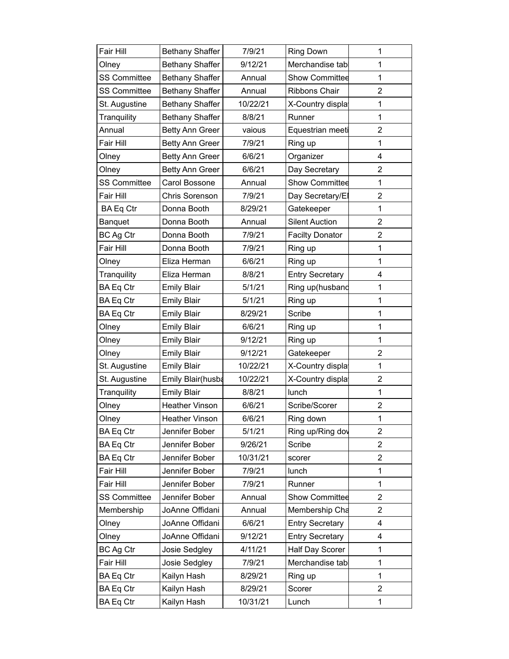| Fair Hill           | Bethany Shaffer        | 7/9/21   | Ring Down              | $\mathbf{1}$            |
|---------------------|------------------------|----------|------------------------|-------------------------|
| Olney               | <b>Bethany Shaffer</b> | 9/12/21  | Merchandise tab        | $\mathbf 1$             |
| <b>SS Committee</b> | <b>Bethany Shaffer</b> | Annual   | <b>Show Committee</b>  | $\mathbf 1$             |
| <b>SS Committee</b> | <b>Bethany Shaffer</b> | Annual   | Ribbons Chair          | $\overline{2}$          |
| St. Augustine       | <b>Bethany Shaffer</b> | 10/22/21 | X-Country display      | $\mathbf{1}$            |
| Tranquility         | Bethany Shaffer        | 8/8/21   | Runner                 | $\mathbf 1$             |
| Annual              | Betty Ann Greer        | vaious   | Equestrian meeti       | $\overline{2}$          |
| Fair Hill           | <b>Betty Ann Greer</b> | 7/9/21   | Ring up                | $\mathbf{1}$            |
| Olney               | Betty Ann Greer        | 6/6/21   | Organizer              | 4                       |
| Olney               | Betty Ann Greer        | 6/6/21   | Day Secretary          | $\overline{2}$          |
| <b>SS Committee</b> | Carol Bossone          | Annual   | <b>Show Committee</b>  | $\mathbf 1$             |
| Fair Hill           | <b>Chris Sorenson</b>  | 7/9/21   | Day Secretary/El       | $\overline{2}$          |
| <b>BA Eq Ctr</b>    | Donna Booth            | 8/29/21  | Gatekeeper             | $\mathbf{1}$            |
| Banquet             | Donna Booth            | Annual   | <b>Silent Auction</b>  | $\overline{2}$          |
| BC Ag Ctr           | Donna Booth            | 7/9/21   | <b>Facilty Donator</b> | $\overline{2}$          |
| Fair Hill           | Donna Booth            | 7/9/21   | Ring up                | $\mathbf 1$             |
| Olney               | Eliza Herman           | 6/6/21   | Ring up                | $\mathbf{1}$            |
| Tranquility         | Eliza Herman           | 8/8/21   | <b>Entry Secretary</b> | $\overline{\mathbf{4}}$ |
| <b>BA Eq Ctr</b>    | <b>Emily Blair</b>     | 5/1/21   | Ring up(husband        | 1                       |
| <b>BA Eq Ctr</b>    | <b>Emily Blair</b>     | 5/1/21   | Ring up                | 1                       |
| <b>BA Eq Ctr</b>    | <b>Emily Blair</b>     | 8/29/21  | Scribe                 | $\mathbf 1$             |
| Olney               | <b>Emily Blair</b>     | 6/6/21   | Ring up                | 1                       |
| Olney               | <b>Emily Blair</b>     | 9/12/21  | Ring up                | 1                       |
| Olney               | <b>Emily Blair</b>     | 9/12/21  | Gatekeeper             | $\overline{2}$          |
| St. Augustine       | <b>Emily Blair</b>     | 10/22/21 | X-Country display      | $\mathbf{1}$            |
| St. Augustine       | Emily Blair(husba      | 10/22/21 | X-Country displa       | $\overline{2}$          |
| Tranquility         | <b>Emily Blair</b>     | 8/8/21   | lunch                  | $\mathbf 1$             |
| Olney               | Heather Vinson         | 6/6/21   | Scribe/Scorer          | $\overline{2}$          |
| Olney               | Heather Vinson         | 6/6/21   | Ring down              | $\mathbf 1$             |
| <b>BA Eq Ctr</b>    | Jennifer Bober         | 5/1/21   | Ring up/Ring dov       | $\overline{2}$          |
| <b>BA Eq Ctr</b>    | Jennifer Bober         | 9/26/21  | Scribe                 | 2                       |
| <b>BA Eq Ctr</b>    | Jennifer Bober         | 10/31/21 | scorer                 | $\overline{2}$          |
| Fair Hill           | Jennifer Bober         | 7/9/21   | lunch                  | $\mathbf 1$             |
| Fair Hill           | Jennifer Bober         | 7/9/21   | Runner                 | $\mathbf 1$             |
| <b>SS Committee</b> | Jennifer Bober         | Annual   | <b>Show Committee</b>  | $\overline{2}$          |
| Membership          | JoAnne Offidani        | Annual   | Membership Cha         | $\overline{2}$          |
| Olney               | JoAnne Offidani        | 6/6/21   | <b>Entry Secretary</b> | 4                       |
| Olney               | JoAnne Offidani        | 9/12/21  | <b>Entry Secretary</b> | 4                       |
| BC Ag Ctr           | Josie Sedgley          | 4/11/21  | Half Day Scorer        | 1                       |
| Fair Hill           | Josie Sedgley          | 7/9/21   | Merchandise tab        | 1                       |
| <b>BA Eq Ctr</b>    | Kailyn Hash            | 8/29/21  | Ring up                | $\mathbf{1}$            |
| <b>BA Eq Ctr</b>    | Kailyn Hash            | 8/29/21  | Scorer                 | $\overline{2}$          |
| <b>BA Eq Ctr</b>    | Kailyn Hash            | 10/31/21 | Lunch                  | 1                       |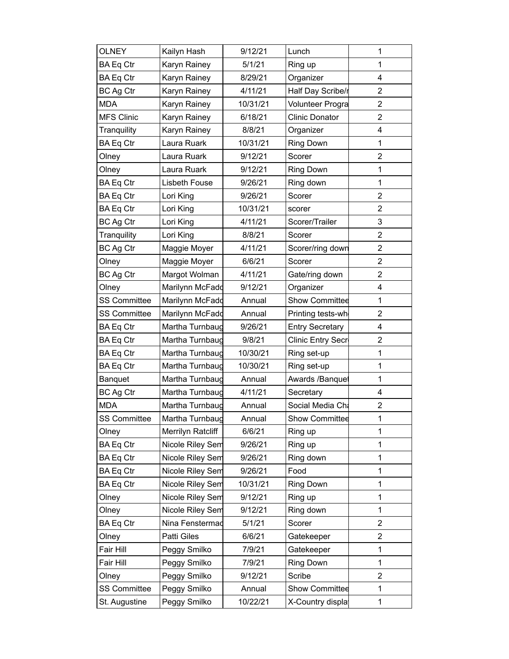| <b>OLNEY</b>        | Kailyn Hash       | 9/12/21  | Lunch                   | 1                       |
|---------------------|-------------------|----------|-------------------------|-------------------------|
| <b>BA Eq Ctr</b>    | Karyn Rainey      | 5/1/21   | Ring up                 | $\mathbf{1}$            |
| <b>BA Eq Ctr</b>    | Karyn Rainey      | 8/29/21  | Organizer               | 4                       |
| <b>BC Ag Ctr</b>    | Karyn Rainey      | 4/11/21  | Half Day Scribe/r       | $\overline{2}$          |
| <b>MDA</b>          | Karyn Rainey      | 10/31/21 | <b>Volunteer Progra</b> | $\overline{2}$          |
| <b>MFS Clinic</b>   | Karyn Rainey      | 6/18/21  | <b>Clinic Donator</b>   | $\overline{2}$          |
| Tranquility         | Karyn Rainey      | 8/8/21   | Organizer               | 4                       |
| <b>BA Eq Ctr</b>    | Laura Ruark       | 10/31/21 | <b>Ring Down</b>        | $\mathbf 1$             |
| Olney               | Laura Ruark       | 9/12/21  | Scorer                  | $\overline{2}$          |
| Olney               | Laura Ruark       | 9/12/21  | Ring Down               | $\mathbf 1$             |
| <b>BA Eq Ctr</b>    | Lisbeth Fouse     | 9/26/21  | Ring down               | $\mathbf 1$             |
| <b>BA Eq Ctr</b>    | Lori King         | 9/26/21  | Scorer                  | $\overline{2}$          |
| <b>BA Eq Ctr</b>    | Lori King         | 10/31/21 | scorer                  | $\overline{2}$          |
| <b>BC Ag Ctr</b>    | Lori King         | 4/11/21  | Scorer/Trailer          | 3                       |
| Tranquility         | Lori King         | 8/8/21   | Scorer                  | $\overline{2}$          |
| <b>BC Ag Ctr</b>    | Maggie Moyer      | 4/11/21  | Scorer/ring down        | $\overline{2}$          |
| Olney               | Maggie Moyer      | 6/6/21   | Scorer                  | $\overline{2}$          |
| <b>BC Ag Ctr</b>    | Margot Wolman     | 4/11/21  | Gate/ring down          | $\overline{2}$          |
| Olney               | Marilynn McFadd   | 9/12/21  | Organizer               | 4                       |
| <b>SS Committee</b> | Marilynn McFadd   | Annual   | <b>Show Committee</b>   | 1                       |
| <b>SS Committee</b> | Marilynn McFadd   | Annual   | Printing tests-wh       | $\overline{2}$          |
| <b>BA Eq Ctr</b>    | Martha Turnbaug   | 9/26/21  | <b>Entry Secretary</b>  | 4                       |
| <b>BA Eq Ctr</b>    | Martha Turnbaug   | 9/8/21   | Clinic Entry Secr       | 2                       |
| <b>BA Eq Ctr</b>    | Martha Turnbaug   | 10/30/21 | Ring set-up             | 1                       |
| <b>BA Eq Ctr</b>    | Martha Turnbaug   | 10/30/21 | Ring set-up             | 1                       |
| Banquet             | Martha Turnbaug   | Annual   | Awards /Banquet         | $\mathbf 1$             |
| BC Ag Ctr           | Martha Turnbaug   | 4/11/21  | Secretary               | 4                       |
| <b>MDA</b>          | Martha Turnbaug   | Annual   | Social Media Cha        | $\overline{\mathbf{c}}$ |
| <b>SS Committee</b> | Martha Turnbaug   | Annual   | Show Committee          | 1                       |
| Olney               | Merrilyn Ratcliff | 6/6/21   | Ring up                 | 1                       |
| <b>BA Eq Ctr</b>    | Nicole Riley Sem  | 9/26/21  | Ring up                 | 1                       |
| <b>BA Eq Ctr</b>    | Nicole Riley Sem  | 9/26/21  | Ring down               | 1                       |
| <b>BA Eq Ctr</b>    | Nicole Riley Sem  | 9/26/21  | Food                    | 1                       |
| <b>BA Eq Ctr</b>    | Nicole Riley Sem  | 10/31/21 | Ring Down               | 1                       |
| Olney               | Nicole Riley Sem  | 9/12/21  | Ring up                 | 1                       |
| Olney               | Nicole Riley Sem  | 9/12/21  | Ring down               | 1                       |
| <b>BA Eq Ctr</b>    | Nina Fenstermad   | 5/1/21   | Scorer                  | $\overline{2}$          |
| Olney               | Patti Giles       | 6/6/21   | Gatekeeper              | $\overline{2}$          |
| Fair Hill           | Peggy Smilko      | 7/9/21   | Gatekeeper              | 1                       |
| Fair Hill           | Peggy Smilko      | 7/9/21   | Ring Down               | 1                       |
| Olney               | Peggy Smilko      | 9/12/21  | Scribe                  | 2                       |
| <b>SS Committee</b> | Peggy Smilko      | Annual   | Show Committee          | 1                       |
| St. Augustine       | Peggy Smilko      | 10/22/21 | X-Country displa        | 1                       |